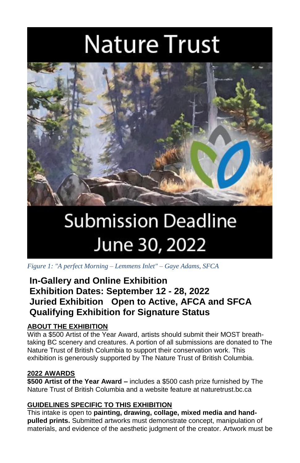# **Nature Trust**



## **Submission Deadline** June 30, 2022

*Figure 1: "A perfect Morning – Lemmens Inlet" – Gaye Adams, SFCA*

### **In-Gallery and Online Exhibition Exhibition Dates: September 12 - 28, 2022 Juried Exhibition Open to Active, AFCA and SFCA Qualifying Exhibition for Signature Status**

#### **ABOUT THE EXHIBITION**

With a \$500 Artist of the Year Award, artists should submit their MOST breathtaking BC scenery and creatures. A portion of all submissions are donated to The Nature Trust of British Columbia to support their conservation work. This exhibition is generously supported by The Nature Trust of British Columbia.

#### **2022 AWARDS**

**\$500 Artist of the Year Award –** includes a \$500 cash prize furnished by The Nature Trust of British Columbia and a website feature at naturetrust.bc.ca

#### **GUIDELINES SPECIFIC TO THIS EXHIBITION**

This intake is open to **painting, drawing, collage, mixed media and handpulled prints.** Submitted artworks must demonstrate concept, manipulation of materials, and evidence of the aesthetic judgment of the creator. Artwork must be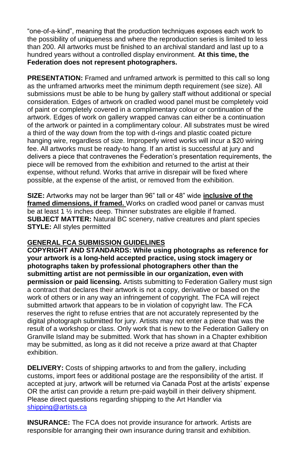"one-of-a-kind", meaning that the production techniques exposes each work to the possibility of uniqueness and where the reproduction series is limited to less than 200. All artworks must be finished to an archival standard and last up to a hundred years without a controlled display environment. **At this time, the Federation does not represent photographers.** 

**PRESENTATION:** Framed and unframed artwork is permitted to this call so long as the unframed artworks meet the minimum depth requirement (see size). All submissions must be able to be hung by gallery staff without additional or special consideration. Edges of artwork on cradled wood panel must be completely void of paint or completely covered in a complimentary colour or continuation of the artwork. Edges of work on gallery wrapped canvas can either be a continuation of the artwork or painted in a complimentary colour. All substrates must be wired a third of the way down from the top with d-rings and plastic coated picture hanging wire, regardless of size. Improperly wired works will incur a \$20 wiring fee. All artworks must be ready-to hang. If an artist is successful at jury and delivers a piece that contravenes the Federation's presentation requirements, the piece will be removed from the exhibition and returned to the artist at their expense, without refund. Works that arrive in disrepair will be fixed where possible, at the expense of the artist, or removed from the exhibition.

**SIZE:** Artworks may not be larger than 96" tall or 48" wide **inclusive of the framed dimensions, if framed.** Works on cradled wood panel or canvas must be at least 1 ½ inches deep. Thinner substrates are eligible if framed. **SUBJECT MATTER:** Natural BC scenery, native creatures and plant species **STYLE:** All styles permitted

#### **GENERAL FCA SUBMISSION GUIDELINES**

**COPYRIGHT AND STANDARDS: While using photographs as reference for your artwork is a long-held accepted practice, using stock imagery or photographs taken by professional photographers other than the submitting artist are not permissible in our organization, even with permission or paid licensing.** Artists submitting to Federation Gallery must sign a contract that declares their artwork is not a copy, derivative or based on the work of others or in any way an infringement of copyright. The FCA will reject submitted artwork that appears to be in violation of copyright law. The FCA reserves the right to refuse entries that are not accurately represented by the digital photograph submitted for jury. Artists may not enter a piece that was the result of a workshop or class. Only work that is new to the Federation Gallery on Granville Island may be submitted. Work that has shown in a Chapter exhibition may be submitted, as long as it did not receive a prize award at that Chapter exhibition.

**DELIVERY:** Costs of shipping artworks to and from the gallery, including customs, import fees or additional postage are the responsibility of the artist. If accepted at jury, artwork will be returned via Canada Post at the artists' expense OR the artist can provide a return pre-paid waybill in their delivery shipment. Please direct questions regarding shipping to the Art Handler via [shipping@artists.ca](mailto:shipping@artists.ca)

**INSURANCE:** The FCA does not provide insurance for artwork. Artists are responsible for arranging their own insurance during transit and exhibition.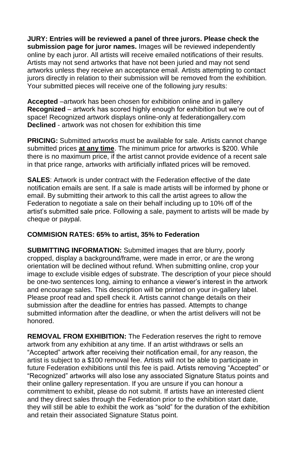**JURY: Entries will be reviewed a panel of three jurors. Please check the submission page for juror names.** Images will be reviewed independently online by each juror. All artists will receive emailed notifications of their results. Artists may not send artworks that have not been juried and may not send artworks unless they receive an acceptance email. Artists attempting to contact jurors directly in relation to their submission will be removed from the exhibition. Your submitted pieces will receive one of the following jury results:

**Accepted** –artwork has been chosen for exhibition online and in gallery **Recognized** – artwork has scored highly enough for exhibition but we're out of space! Recognized artwork displays online-only at federationgallery.com **Declined** - artwork was not chosen for exhibition this time

**PRICING:** Submitted artworks must be available for sale. Artists cannot change submitted prices **at any time**. The minimum price for artworks is \$200. While there is no maximum price, if the artist cannot provide evidence of a recent sale in that price range, artworks with artificially inflated prices will be removed.

**SALES**: Artwork is under contract with the Federation effective of the date notification emails are sent. If a sale is made artists will be informed by phone or email. By submitting their artwork to this call the artist agrees to allow the Federation to negotiate a sale on their behalf including up to 10% off of the artist's submitted sale price. Following a sale, payment to artists will be made by cheque or paypal.

#### **COMMISION RATES: 65% to artist, 35% to Federation**

**SUBMITTING INFORMATION:** Submitted images that are blurry, poorly cropped, display a background/frame, were made in error, or are the wrong orientation will be declined without refund. When submitting online, crop your image to exclude visible edges of substrate. The description of your piece should be one-two sentences long, aiming to enhance a viewer's interest in the artwork and encourage sales. This description will be printed on your in-gallery label. Please proof read and spell check it. Artists cannot change details on their submission after the deadline for entries has passed. Attempts to change submitted information after the deadline, or when the artist delivers will not be honored.

**REMOVAL FROM EXHIBITION:** The Federation reserves the right to remove artwork from any exhibition at any time. If an artist withdraws or sells an "Accepted" artwork after receiving their notification email, for any reason, the artist is subject to a \$100 removal fee. Artists will not be able to participate in future Federation exhibitions until this fee is paid. Artists removing "Accepted" or "Recognized" artworks will also lose any associated Signature Status points and their online gallery representation. If you are unsure if you can honour a commitment to exhibit, please do not submit. If artists have an interested client and they direct sales through the Federation prior to the exhibition start date, they will still be able to exhibit the work as "sold" for the duration of the exhibition and retain their associated Signature Status point.